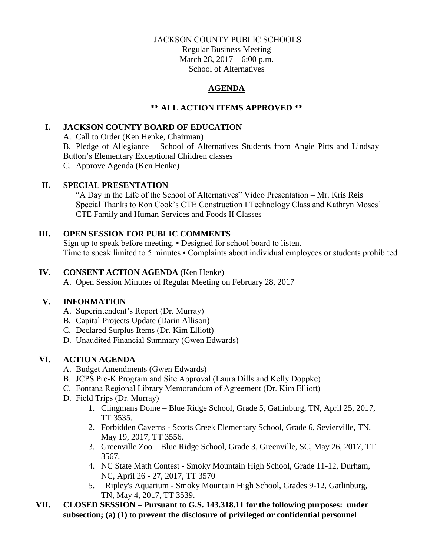### JACKSON COUNTY PUBLIC SCHOOLS

Regular Business Meeting March 28, 2017 – 6:00 p.m. School of Alternatives

## **AGENDA**

# **\*\* ALL ACTION ITEMS APPROVED \*\***

### **I. JACKSON COUNTY BOARD OF EDUCATION**

A. Call to Order (Ken Henke, Chairman)

B. Pledge of Allegiance – School of Alternatives Students from Angie Pitts and Lindsay Button's Elementary Exceptional Children classes

C. Approve Agenda (Ken Henke)

### **II. SPECIAL PRESENTATION**

"A Day in the Life of the School of Alternatives" Video Presentation – Mr. Kris Reis Special Thanks to Ron Cook's CTE Construction I Technology Class and Kathryn Moses' CTE Family and Human Services and Foods II Classes

## **III. OPEN SESSION FOR PUBLIC COMMENTS**

Sign up to speak before meeting. • Designed for school board to listen. Time to speak limited to 5 minutes • Complaints about individual employees or students prohibited

## **IV. CONSENT ACTION AGENDA** (Ken Henke)

A. Open Session Minutes of Regular Meeting on February 28, 2017

# **V. INFORMATION**

- A. Superintendent's Report (Dr. Murray)
- B. Capital Projects Update (Darin Allison)
- C. Declared Surplus Items (Dr. Kim Elliott)
- D. Unaudited Financial Summary (Gwen Edwards)

# **VI. ACTION AGENDA**

- A. Budget Amendments (Gwen Edwards)
- B. JCPS Pre-K Program and Site Approval (Laura Dills and Kelly Doppke)
- C. Fontana Regional Library Memorandum of Agreement (Dr. Kim Elliott)
- D. Field Trips (Dr. Murray)
	- 1. Clingmans Dome Blue Ridge School, Grade 5, Gatlinburg, TN, April 25, 2017, TT 3535.
	- 2. Forbidden Caverns Scotts Creek Elementary School, Grade 6, Sevierville, TN, May 19, 2017, TT 3556.
	- 3. Greenville Zoo Blue Ridge School, Grade 3, Greenville, SC, May 26, 2017, TT 3567.
	- 4. NC State Math Contest Smoky Mountain High School, Grade 11-12, Durham, NC, April 26 - 27, 2017, TT 3570
	- 5. Ripley's Aquarium Smoky Mountain High School, Grades 9-12, Gatlinburg, TN, May 4, 2017, TT 3539.
- **VII. CLOSED SESSION – Pursuant to G.S. 143.318.11 for the following purposes: under subsection; (a) (1) to prevent the disclosure of privileged or confidential personnel**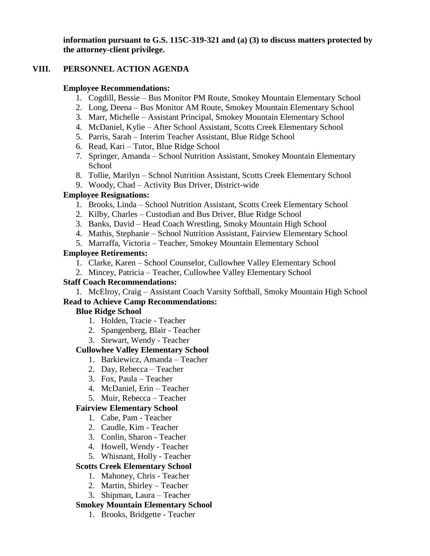**information pursuant to G.S. 115C-319-321 and (a) (3) to discuss matters protected by the attorney-client privilege.**

## **VIII. PERSONNEL ACTION AGENDA**

### **Employee Recommendations:**

- 1. Cogdill, Bessie Bus Monitor PM Route, Smokey Mountain Elementary School
- 2. Long, Deena Bus Monitor AM Route, Smokey Mountain Elementary School
- 3. Marr, Michelle Assistant Principal, Smokey Mountain Elementary School
- 4. McDaniel, Kylie After School Assistant, Scotts Creek Elementary School
- 5. Parris, Sarah Interim Teacher Assistant, Blue Ridge School
- 6. Read, Kari Tutor, Blue Ridge School
- 7. Springer, Amanda School Nutrition Assistant, Smokey Mountain Elementary School
- 8. Tollie, Marilyn School Nutrition Assistant, Scotts Creek Elementary School
- 9. Woody, Chad Activity Bus Driver, District-wide

## **Employee Resignations:**

- 1. Brooks, Linda School Nutrition Assistant, Scotts Creek Elementary School
- 2. Kilby, Charles Custodian and Bus Driver, Blue Ridge School
- 3. Banks, David Head Coach Wrestling, Smoky Mountain High School
- 4. Mathis, Stephanie School Nutrition Assistant, Fairview Elementary School
- 5. Marraffa, Victoria Teacher, Smokey Mountain Elementary School

## **Employee Retirements:**

- 1. Clarke, Karen School Counselor, Cullowhee Valley Elementary School
- 2. Mincey, Patricia Teacher, Cullowhee Valley Elementary School

# **Staff Coach Recommendations:**

1. McElroy, Craig – Assistant Coach Varsity Softball, Smoky Mountain High School **Read to Achieve Camp Recommendations:**

# **Blue Ridge School**

- 1. Holden, Tracie Teacher
- 2. Spangenberg, Blair Teacher
- 3. Stewart, Wendy Teacher

# **Cullowhee Valley Elementary School**

- 1. Barkiewicz, Amanda Teacher
- 2. Day, Rebecca Teacher
- 3. Fox, Paula Teacher
- 4. McDaniel, Erin Teacher
- 5. Muir, Rebecca Teacher

# **Fairview Elementary School**

- 1. Cabe, Pam Teacher
- 2. Caudle, Kim Teacher
- 3. Conlin, Sharon Teacher
- 4. Howell, Wendy Teacher
- 5. Whisnant, Holly Teacher

# **Scotts Creek Elementary School**

- 1. Mahoney, Chris Teacher
- 2. Martin, Shirley Teacher
- 3. Shipman, Laura Teacher

# **Smokey Mountain Elementary School**

1. Brooks, Bridgette - Teacher